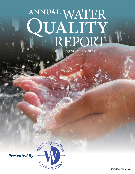# ANNUAL WATER<br>QUALITY<br>REPORT REPORTING YEAR 2020

DES MONS

HATER WOR

*Presented By*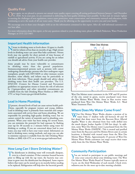# **Quality First**

Once again, we are pleased to present our annual water quality report covering all testing performed between January 1 and December<br>31, 2020. As in years past, we are committed to delivering the best-quality drinking water in meeting the challenges of new regulations, source water protection, water conservation, and community outreach and education, while continuing to serve the needs of all our water users. Thank you for allowing us the opportunity to serve you and your family.

We encourage you to share your thoughts with us on the information contained in this report. After all, well-informed customers are our best allies.

For more information about this report, or for any questions related to your drinking water, please call Mitch Pinkerton, Water Production Manager, at (515) 222-3465.

## **Important Health Information**

Nitrate in drinking water at levels above 10 ppm is a health risk for infants of less than six months of age. High nitrate levels in drinking water can cause blue baby syndrome. Nitrate levels may rise quickly for short periods of time because of rainfall or agricultural activity. If you are caring for an infant you should ask advice from your health-care provider.

Some people may be more vulnerable to contaminants in drinking water than the general population. Immunocompromised persons such as persons with cancer undergoing chemotherapy, persons who have undergone organ transplants, people with HIV/AIDS or other immune system disorders, some elderly, and infants may be particularly at risk from infections. These people should seek advice about drinking water from their health care providers. The U.S. EPA/CDC (Centers for Disease Control and Prevention) guidelines on appropriate means to lessen the risk of infection by *Cryptosporidium* and other microbial contaminants are available from the Safe Drinking Water Hotline at (800) 426- 4791 or<http://water.epa.gov/drink/hotline>.

# **Lead in Home Plumbing**

If present, elevated levels of lead can cause serious health prob-<br>lems, especially for pregnant women and young children. lems, especially for pregnant women and young children. Lead in drinking water is primarily from materials and components associated with service lines and home plumbing. We are responsible for providing high-quality drinking water, but we cannot control the variety of materials used in plumbing components. When your water has been sitting for several hours, you can minimize the potential for lead exposure by flushing your tap for 30 seconds to 2 minutes before using water for drinking or cooking. If you are concerned about lead in your water, you may wish to have your water tested. Information on lead in drinking water, testing methods, and steps you can take to minimize exposure is available from the Safe Drinking Water Hotline at (800) 426-4791 or at [www.epa.gov/safewater/lead](http://www.epa.gov/safewater/lead).

# **How Long Can I Store Drinking Water?**

The disinfectant in drinking water will eventually dissipate, even in a closed container. If that container housed bacteria prior to filling up with the tap water, the bacteria may continue to grow once the disinfectant has dissipated. Some experts believe that water can be stored up to six months before needing to be replaced. Refrigeration will help slow the bacterial growth.



West Des Moines water customers in the NW and SE portion of the city, noted in green, receive purchased water from the Des Moines Water Works. Areas in blue receive water produced from West Des Moines Water Works A.C. Ward Water Treatment Plant.

### **Where Does My Water Come From?**

West Des Moines Water Works obtains a portion of its<br>water from 17 shallow wells (all between 40 and 50<br>for due in the law were from the Broasen Birm Allmid feet deep) that draw water from the Raccoon River Alluvial Aquifer. Water is also obtained from four wells drilled into the much deeper Jordan Aquifer (2,500 feet deep). In addition, some West Des Moines water is purchased from the Des Moines Water Works (DMWW). This is treated and purified water from the Raccoon and Des Moines Rivers and, in certain locations, is blended with treated water from the West Des Moines Water Works. Approximately 25 percent of West Des Moines Water Works customers (see map) receive their water solely from the Des Moines Water Works.

# **Community Participation**

You are invited to participate in our public meetings and voice your concerns about your drinking water. The West Des Moines Water Works Board of Trustees typically meets at 4 p.m. on the third Wednesday of each month. Check [www.](http://www.wdmww.com) [wdmww.com](http://www.wdmww.com) for the most up-to-date meeting schedule.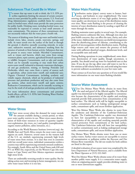### **Substances That Could Be in Water**

To ensure that tap water is safe to drink, the U.S. EPA prescribes regulations limiting the amount of certain contaminants in water provided by public water systems. U.S. Food and Drug Administration regulations establish limits for contaminants in bottled water, which must provide the same protection for public health. Drinking water, including bottled water, may reasonably be expected to contain at least small amounts of some contaminants. The presence of these contaminants does not necessarily indicate that the water poses a health risk.

The sources of drinking water (both tap water and bottled water) include rivers, lakes, streams, ponds, reservoirs, springs, and wells. As water travels over the surface of the land or through the ground, it dissolves naturally occurring minerals, in some cases, radioactive material, and substances resulting from the presence of animals or from human activity. Substances that may be present in source water include: Microbial Contaminants, such as viruses and bacteria, which may come from sewage treatment plants, septic systems, agricultural livestock operations, or wildlife; Inorganic Contaminants, such as salts and metals, which can be naturally occurring or may result from urban storm-water runoff, industrial or domestic wastewater discharges, oil and gas production, mining, or farming; Pesticides and Herbicides, which may come from a variety of sources such as agriculture, urban storm-water runoff, and residential uses; Organic Chemical Contaminants, including synthetic and volatile organic chemicals, which are by-products of industrial processes and petroleum production and may also come from gas stations, urban storm-water runoff, and septic systems; Radioactive Contaminants, which can be naturally occurring or may be the result of oil and gas production and mining activities.

For more information about contaminants and potential health effects, call the U.S. EPA's Safe Drinking Water Hotline at (800) 426-4791.

### **Water Stress**

Water stress occurs when the demand for water exceeds the amount available during a certain period, or when poor water quality restricts its use. Water stress causes deterioration of fresh-water resources in terms of quantity (aquifer over-exploitation, dry rivers, etc.) and quality (eutrophication, organic matter pollution, saline intrusion, etc.).

According to the World Resource Institute ([www.wri.org](http://www.wri.org)), the Middle East and North Africa remain the most water stressed regions on earth. However, several states in the western half of the U.S. are similarly experiencing extremely high levels of water stress from overuse. It is clear that even in countries with low overall water stress, individual communities within a country may still be experiencing extremely stressed conditions. For example, South Africa and the United States rank #48 and #71 on WRI's list, respectively, yet the Western Cape (the state home to Cape Town) and New Mexico experience extremely high stress levels.

There are undeniably worrying trends in water quality. But by taking action now and investing in better management, we can solve water issues before it is too late.

### **Water Main Flushing**

Distribution mains (pipes) convey water to homes, busi-nesses, and hydrants in your neighborhood. The water entering distribution mains is of very high quality; however, water quality can deteriorate in areas of the distribution mains over time. Water main flushing is the process of cleaning the interior of water distribution mains by sending a rapid flow of water through the mains.

Flushing maintains water quality in several ways. For example, flushing removes sediments like iron. Although iron does not pose health concerns, they can affect the taste, clarity, and color of the water. Additionally, sediments can shield microorganisms from the disinfecting power of chlorine, contributing to the growth of microorganisms within distribution mains. Flushing helps remove stale water and ensures the presence of fresh water with sufficient dissolved oxygen, disinfectant levels, and an acceptable taste and smell.

During flushing operations in your neighborhood, some shortterm deterioration of water quality, though uncommon, is possible. You should avoid tap water for household uses at that time. If you do use the tap, allow your cold water to run for a few minutes at full velocity before use, and avoid using hot water to prevent sediment accumulation in your hot water tank.

Please contact us if you have any questions or if you would like more information on our water main flushing schedule.

### **Source Water Assessment**

West Des Moines Water Works obtains its water from the sand and gravel of the Alluvial aquifer. The Alluvial aquifer was determined to be highly susceptible to contamination because the characteristics of the aquifer and overlying materials provide little protection from contamination at the land surface. The Alluvial wells will be highly susceptible to surface contaminants such as leaking underground storage tanks, contaminant spills, and excess fertilizer application.

West Des Moines Water Works also obtains its water from the sandstone and dolomite of the Cambrian-Ordovician Aquifer. The Cambrian-Ordovician aquifer was determined to have low susceptibility to contamination because the characteristics of the aquifer and overlying materials provide natural protection from contaminants at the land surface. The Cambrian-Ordovician wells will have low susceptibility to surface contaminants such as leaking underground storage tanks, contaminant spills, and excess fertilizer application.

Des Moines Water Works obtains water from one or more surface waters. Surface water sources are susceptible to sources of contamination or pollution within the Raccoon and Des Moines River watersheds. The lab test results for both utilities are listed in this report.

A detailed evaluation of our source water was completed by the Iowa Department of Natural Resources, and is available from the Water Operator at (515) 222-3465

West Des Moines Water Works obtains some of its water from another public water supply. It is a consecutive water supply, where an originating parent supply provides drinking water to one or more downstream supplies.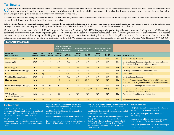# **Test Results**

Our water is monitored for many different kinds of substances on a very strict sampling schedule and, the water we deliver must meet specific health standards. Here, we only show those<br>substances that were detected in our drink. Our goal is to keep all detects below their respective maximum allowed levels.

The State recommends monitoring for certain substances less than once per year because the concentrations of these substances do not change frequently. In these cases, the most recent sample data are included, along with the year in which the sample was taken.

Total Coliform Bacteria are bacteria that are naturally present in the environment and are used as an indicator that other waterborne pathogens may be present, or that a potential pathway exists through which contamination may enter drinking water. In June of 2020, West Des Moines Water Works had one sample positive with no violations.

We participated in the 4th round of the U.S. EPA's Unregulated Contaminant Monitoring Rule (UCMR4) program by performing additional tests on our drinking water. UCMR4 sampling benefits the environment and public health by providing the U.S. EPA with data on the occurrence of contaminants suspected to be in drinking water in order to determine if U.S. EPA needs to introduce new regulatory standards to improve drinking water quality. Unregulated contaminant monitoring data are available to the public, so please feel free to contact us if you are interested in obtaining that information. If you would like more information on the U.S. EPA's Unregulated Contaminants Monitoring Rule, please call the Safe Drinking Water Hotline at (800) 426-4791.

| <b>REGULATED SUBSTANCES</b>                                                                                   |      |                |                |                                                                                           |                          |                                                        |                          |                                                           |                          |                  |                                                                                                                               |  |
|---------------------------------------------------------------------------------------------------------------|------|----------------|----------------|-------------------------------------------------------------------------------------------|--------------------------|--------------------------------------------------------|--------------------------|-----------------------------------------------------------|--------------------------|------------------|-------------------------------------------------------------------------------------------------------------------------------|--|
|                                                                                                               |      |                |                | <b>West Des Moines Water</b><br>Vorks A.C. Ward Municipal<br><b>Water Treatment Plant</b> |                          | <b>Des Moines Water Works</b><br><b>McMullen Plant</b> |                          | <b>Des Moines Water Works</b><br><b>Fleur Drive Plant</b> |                          |                  |                                                                                                                               |  |
| <b>SUBSTANCE</b><br><b>MCL</b><br><b>YEAR</b><br><b>MCLG</b><br>[MRDL]<br><b>SAMPLED</b><br>(UNIT OF MEASURE) |      |                | [MRDLG]        | <b>AMOUNT</b><br><b>DETECTED</b>                                                          | <b>RANGE</b><br>LOW-HIGH | <b>AMOUNT</b><br><b>DETECTED</b>                       | <b>RANGE</b><br>LOW-HIGH | <b>AMOUNT</b><br><b>DETECTED</b>                          | <b>RANGE</b><br>LOW-HIGH | <b>VIOLATION</b> | <b>TYPICAL SOURCE</b>                                                                                                         |  |
| <b>Alpha Emitters</b> (pCi/L)                                                                                 | 2020 | 15             | $\mathbf{0}$   | <b>NA</b>                                                                                 | <b>NA</b>                | NA                                                     | <b>NA</b>                | <b>NA</b>                                                 | <b>NA</b>                | N <sub>o</sub>   | Erosion of natural deposits                                                                                                   |  |
| Arsenic (ppb)                                                                                                 | 2020 | 10             | $\mathbf{0}$   | <b>NA</b>                                                                                 | <b>NA</b>                | NA                                                     | <b>NA</b>                | <b>NA</b>                                                 | <b>NA</b>                | No               | Erosion of natural deposits; Runoff from orchards; Runoff<br>from glass and electronics production wastes                     |  |
| <b>Atrazine</b> (ppb)                                                                                         | 2019 | $\overline{3}$ | $\overline{3}$ | <b>NA</b>                                                                                 | <b>NA</b>                | <b>NA</b>                                              | <b>NA</b>                | 0.1                                                       | <b>NA</b>                | No               | Runoff from herbicide used on row crops                                                                                       |  |
| cis-1,2-Dichloroethylene (ppb)                                                                                | 2020 | 70             | 70             | <b>NA</b>                                                                                 | <b>NA</b>                | <b>NA</b>                                              | <b>NA</b>                |                                                           | $1 - 1$                  | N <sub>o</sub>   | Discharge from industrial chemical factories                                                                                  |  |
| <b>Chlorine</b> (ppm)                                                                                         | 2020 | $[4]$          | $[4]$          | 1.0                                                                                       | $0.04 - 2$               | <b>NA</b>                                              | <b>NA</b>                | <b>NA</b>                                                 | <b>NA</b>                | No               | Water additive used to control microbes                                                                                       |  |
| <b>Combined Radium</b> (pCi/L)                                                                                | 2020 | 5              | $\mathbf{0}$   | <b>NA</b>                                                                                 | <b>NA</b>                | <b>NA</b>                                              | <b>NA</b>                | <b>NA</b>                                                 | <b>NA</b>                | N <sub>o</sub>   | Erosion of natural deposits                                                                                                   |  |
| <b>Fluoride</b> (ppm)                                                                                         | 2018 | $\overline{4}$ | 4              | 1.2                                                                                       | <b>NA</b>                | $0.92^{2}$                                             | $0.12 - 0.92^2$          | <b>NA</b>                                                 | <b>NA</b>                | No               | Erosion of natural deposits; Water additive, which promotes<br>strong teeth; Discharge from fertilizer and aluminum factories |  |
| Haloacetic Acids [HAAs] (ppb)                                                                                 | 2020 | 60             | <b>NA</b>      | 6                                                                                         | <b>NA</b>                | <b>NA</b>                                              | <b>NA</b>                | <b>NA</b>                                                 | <b>NA</b>                | No               | By-product of drinking water disinfection                                                                                     |  |
| <b>Nitrate</b> (ppm)                                                                                          | 2020 | 10             | 10             | 0.69                                                                                      | <b>NA</b>                | 7.38                                                   | $0.11 - 7.38$            | 5.66                                                      | $0.08 - 5.66$            | N <sub>o</sub>   | Runoff from fertilizer use; Leaching from septic tanks,<br>sewage; Erosion of natural deposits                                |  |
| <b>TTHMs</b> [Total]<br>Trihalomethanes] (ppb)                                                                | 2020 | 80             | <b>NA</b>      | 30                                                                                        | <b>NA</b>                | <b>NA</b>                                              | NA                       | <b>NA</b>                                                 | <b>NA</b>                | No               | By-product of drinking water disinfection                                                                                     |  |
| <b>Uranium</b> (ppb)                                                                                          | 2018 | 30             | $\mathbf{0}$   | <b>NA</b>                                                                                 | <b>NA</b>                | <b>NA</b>                                              | <b>NA</b>                | <b>NA</b>                                                 | <b>NA</b>                | No               | Erosion of natural deposits                                                                                                   |  |

# **Definitions**

**90th %ile:** The levels reported for lead and copper represent the 90th percentile of the total number of sites tested. The 90th percentile is equal to or greater than 90% of our lead and copper detections.

**AL (Action Level):** The concentration of a contaminant which, if exceeded, triggers treatment or other requirements which a water system must follow.

**MCL (Maximum Contaminant Level):** The highest level of a contaminant that is allowed in drinking water. MCLs are set as close to the MCLGs as feasible using the best available treatment technology.

**MCLG (Maximum Contaminant Level Goal):** The level of a contaminant in drinking water below which there is no known or expected risk to health. MCLGs allow for a margin of safety.

**MRDL (Maximum Residual Disinfectant Level):** The highest level of a disinfectant allowed in drinking water. There is convincing evidence that addition of a disinfectant is necessary for control of microbial contaminants.

**MRDLG (Maximum Residual Disinfectant Level Goal):** The level of a drinking water disinfectant below which there is no known or expected risk to health. MRDLGs do not reflect the benefits of the use of disinfectants to control microbial contaminants.

**NA:** Not applicable.

**ND (Not detected):** Indicates that the substance was not found by laboratory analysis.

**pCi/L (picocuries per liter):** A measure of radioactivity.

**ppb (parts per billion):** One part substance per billion parts water (or micrograms per liter).

**ppm (parts per million):** One part substance per million parts water (or milligrams per liter).